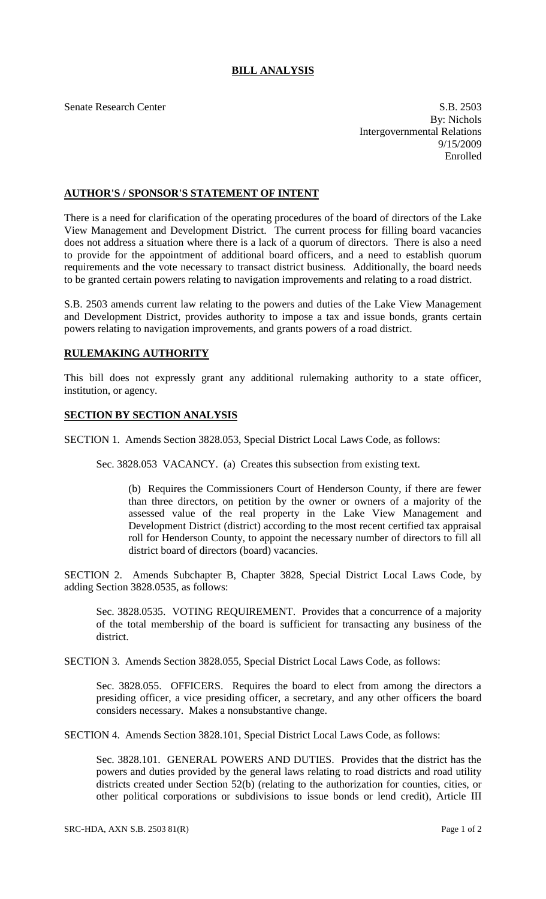## **BILL ANALYSIS**

Senate Research Center S.B. 2503 By: Nichols Intergovernmental Relations 9/15/2009 Enrolled

## **AUTHOR'S / SPONSOR'S STATEMENT OF INTENT**

There is a need for clarification of the operating procedures of the board of directors of the Lake View Management and Development District. The current process for filling board vacancies does not address a situation where there is a lack of a quorum of directors. There is also a need to provide for the appointment of additional board officers, and a need to establish quorum requirements and the vote necessary to transact district business. Additionally, the board needs to be granted certain powers relating to navigation improvements and relating to a road district.

S.B. 2503 amends current law relating to the powers and duties of the Lake View Management and Development District, provides authority to impose a tax and issue bonds, grants certain powers relating to navigation improvements, and grants powers of a road district.

## **RULEMAKING AUTHORITY**

This bill does not expressly grant any additional rulemaking authority to a state officer, institution, or agency.

## **SECTION BY SECTION ANALYSIS**

SECTION 1. Amends Section 3828.053, Special District Local Laws Code, as follows:

Sec. 3828.053 VACANCY. (a) Creates this subsection from existing text.

(b) Requires the Commissioners Court of Henderson County, if there are fewer than three directors, on petition by the owner or owners of a majority of the assessed value of the real property in the Lake View Management and Development District (district) according to the most recent certified tax appraisal roll for Henderson County, to appoint the necessary number of directors to fill all district board of directors (board) vacancies.

SECTION 2. Amends Subchapter B, Chapter 3828, Special District Local Laws Code, by adding Section 3828.0535, as follows:

Sec. 3828.0535. VOTING REQUIREMENT. Provides that a concurrence of a majority of the total membership of the board is sufficient for transacting any business of the district.

SECTION 3. Amends Section 3828.055, Special District Local Laws Code, as follows:

Sec. 3828.055. OFFICERS. Requires the board to elect from among the directors a presiding officer, a vice presiding officer, a secretary, and any other officers the board considers necessary. Makes a nonsubstantive change.

SECTION 4. Amends Section 3828.101, Special District Local Laws Code, as follows:

Sec. 3828.101. GENERAL POWERS AND DUTIES. Provides that the district has the powers and duties provided by the general laws relating to road districts and road utility districts created under Section 52(b) (relating to the authorization for counties, cities, or other political corporations or subdivisions to issue bonds or lend credit), Article III